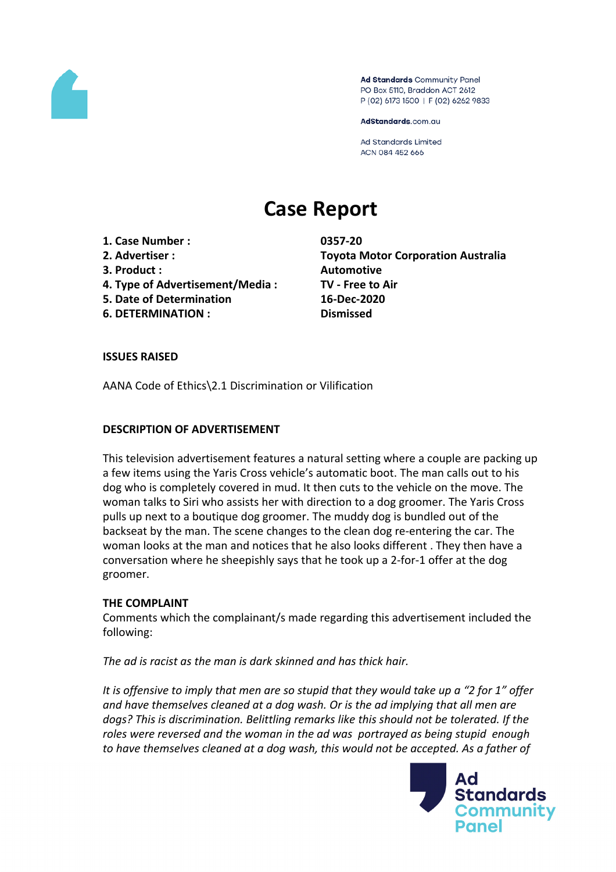

Ad Standards Community Panel PO Box 5110, Braddon ACT 2612 P (02) 6173 1500 | F (02) 6262 9833

AdStandards.com.au

Ad Standards Limited ACN 084 452 666

# **Case Report**

- **1. Case Number : 0357-20**
- 
- **3. Product : Automotive**
- **4. Type of Advertisement/Media : TV - Free to Air**
- **5. Date of Determination 16-Dec-2020**
- **6. DETERMINATION : Dismissed**

**2. Advertiser : Toyota Motor Corporation Australia**

#### **ISSUES RAISED**

AANA Code of Ethics\2.1 Discrimination or Vilification

#### **DESCRIPTION OF ADVERTISEMENT**

This television advertisement features a natural setting where a couple are packing up a few items using the Yaris Cross vehicle's automatic boot. The man calls out to his dog who is completely covered in mud. It then cuts to the vehicle on the move. The woman talks to Siri who assists her with direction to a dog groomer. The Yaris Cross pulls up next to a boutique dog groomer. The muddy dog is bundled out of the backseat by the man. The scene changes to the clean dog re-entering the car. The woman looks at the man and notices that he also looks different . They then have a conversation where he sheepishly says that he took up a 2-for-1 offer at the dog groomer.

#### **THE COMPLAINT**

Comments which the complainant/s made regarding this advertisement included the following:

*The ad is racist as the man is dark skinned and has thick hair.*

It is offensive to imply that men are so stupid that they would take up a "2 for 1" offer *and have themselves cleaned at a dog wash. Or is the ad implying that all men are dogs? This is discrimination. Belittling remarks like this should not be tolerated. If the roles were reversed and the woman in the ad was portrayed as being stupid enough to have themselves cleaned at a dog wash, this would not be accepted. As a father of*

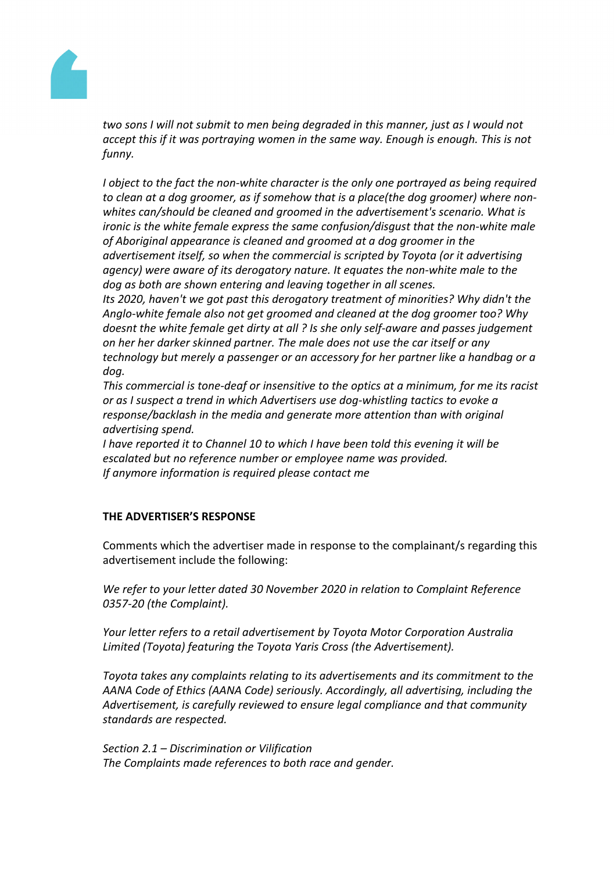

*two sons I will not submit to men being degraded in this manner, just as I would not accept this if it was portraying women in the same way. Enough is enough. This is not funny.*

*I object to the fact the non-white character is the only one portrayed as being required to clean at a dog groomer, as if somehow that is a place(the dog groomer) where nonwhites can/should be cleaned and groomed in the advertisement's scenario. What is ironic is the white female express the same confusion/disgust that the non-white male of Aboriginal appearance is cleaned and groomed at a dog groomer in the advertisement itself, so when the commercial is scripted by Toyota (or it advertising agency) were aware of its derogatory nature. It equates the non-white male to the dog as both are shown entering and leaving together in all scenes.*

*Its 2020, haven't we got past this derogatory treatment of minorities? Why didn't the Anglo-white female also not get groomed and cleaned at the dog groomer too? Why doesnt the white female get dirty at all ? Is she only self-aware and passes judgement on her her darker skinned partner. The male does not use the car itself or any technology but merely a passenger or an accessory for her partner like a handbag or a dog.*

*This commercial is tone-deaf or insensitive to the optics at a minimum, for me its racist or as I suspect a trend in which Advertisers use dog-whistling tactics to evoke a response/backlash in the media and generate more attention than with original advertising spend.*

*I have reported it to Channel 10 to which I have been told this evening it will be escalated but no reference number or employee name was provided. If anymore information is required please contact me*

## **THE ADVERTISER'S RESPONSE**

Comments which the advertiser made in response to the complainant/s regarding this advertisement include the following:

*We refer to your letter dated 30 November 2020 in relation to Complaint Reference 0357-20 (the Complaint).*

*Your letter refers to a retail advertisement by Toyota Motor Corporation Australia Limited (Toyota) featuring the Toyota Yaris Cross (the Advertisement).*

*Toyota takes any complaints relating to its advertisements and its commitment to the AANA Code of Ethics (AANA Code) seriously. Accordingly, all advertising, including the Advertisement, is carefully reviewed to ensure legal compliance and that community standards are respected.*

*Section 2.1 – Discrimination or Vilification The Complaints made references to both race and gender.*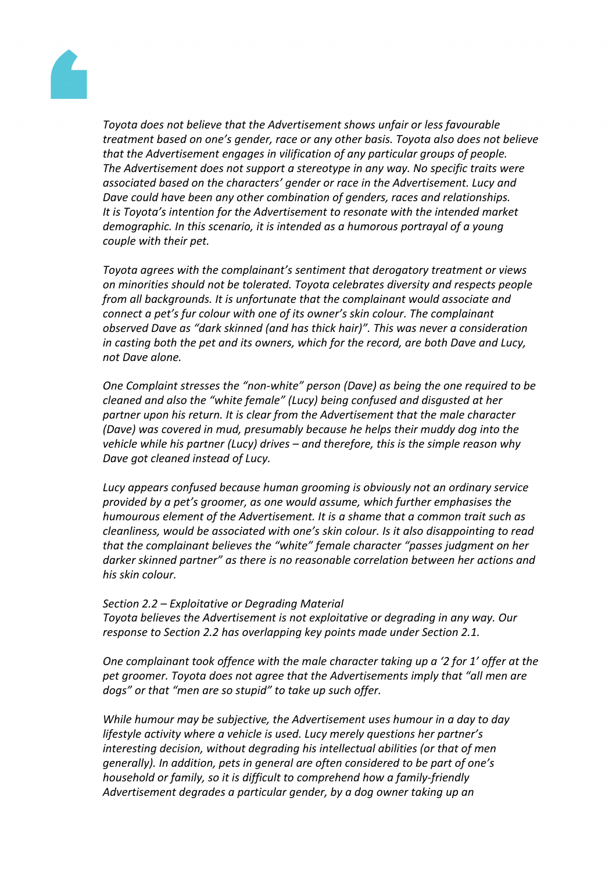

*Toyota does not believe that the Advertisement shows unfair or less favourable treatment based on one's gender, race or any other basis. Toyota also does not believe that the Advertisement engages in vilification of any particular groups of people. The Advertisement does not support a stereotype in any way. No specific traits were associated based on the characters' gender or race in the Advertisement. Lucy and Dave could have been any other combination of genders, races and relationships. It is Toyota's intention for the Advertisement to resonate with the intended market demographic. In this scenario, it is intended as a humorous portrayal of a young couple with their pet.*

*Toyota agrees with the complainant's sentiment that derogatory treatment or views on minorities should not be tolerated. Toyota celebrates diversity and respects people from all backgrounds. It is unfortunate that the complainant would associate and connect a pet's fur colour with one of its owner's skin colour. The complainant observed Dave as "dark skinned (and has thick hair)". This was never a consideration in casting both the pet and its owners, which for the record, are both Dave and Lucy, not Dave alone.*

*One Complaint stresses the "non-white" person (Dave) as being the one required to be cleaned and also the "white female" (Lucy) being confused and disgusted at her partner upon his return. It is clear from the Advertisement that the male character (Dave) was covered in mud, presumably because he helps their muddy dog into the vehicle while his partner (Lucy) drives – and therefore, this is the simple reason why Dave got cleaned instead of Lucy.*

*Lucy appears confused because human grooming is obviously not an ordinary service provided by a pet's groomer, as one would assume, which further emphasises the humourous element of the Advertisement. It is a shame that a common trait such as cleanliness, would be associated with one's skin colour. Is it also disappointing to read that the complainant believes the "white" female character "passes judgment on her darker skinned partner" as there is no reasonable correlation between her actions and his skin colour.*

#### *Section 2.2 – Exploitative or Degrading Material*

*Toyota believes the Advertisement is not exploitative or degrading in any way. Our response to Section 2.2 has overlapping key points made under Section 2.1.*

*One complainant took offence with the male character taking up a '2 for 1' offer at the pet groomer. Toyota does not agree that the Advertisements imply that "all men are dogs" or that "men are so stupid" to take up such offer.*

*While humour may be subjective, the Advertisement uses humour in a day to day lifestyle activity where a vehicle is used. Lucy merely questions her partner's interesting decision, without degrading his intellectual abilities (or that of men generally). In addition, pets in general are often considered to be part of one's household or family, so it is difficult to comprehend how a family-friendly Advertisement degrades a particular gender, by a dog owner taking up an*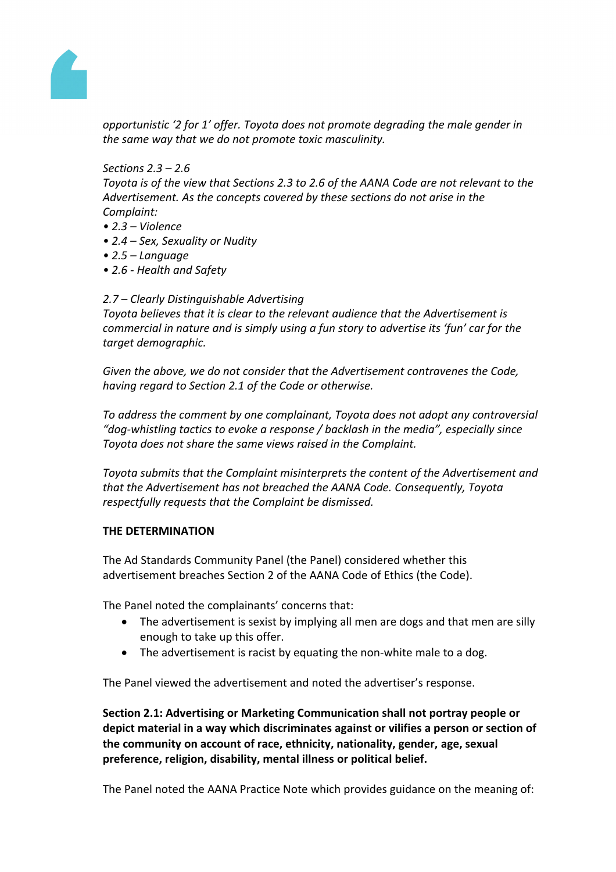

*opportunistic '2 for 1' offer. Toyota does not promote degrading the male gender in the same way that we do not promote toxic masculinity.*

*Sections 2.3 – 2.6*

*Toyota is of the view that Sections 2.3 to 2.6 of the AANA Code are not relevant to the Advertisement. As the concepts covered by these sections do not arise in the Complaint:*

- *• 2.3 – Violence*
- *• 2.4 – Sex, Sexuality or Nudity*
- *• 2.5 – Language*
- *• 2.6 - Health and Safety*

#### *2.7 – Clearly Distinguishable Advertising*

*Toyota believes that it is clear to the relevant audience that the Advertisement is commercial in nature and is simply using a fun story to advertise its 'fun' car for the target demographic.*

*Given the above, we do not consider that the Advertisement contravenes the Code, having regard to Section 2.1 of the Code or otherwise.*

*To address the comment by one complainant, Toyota does not adopt any controversial "dog-whistling tactics to evoke a response / backlash in the media", especially since Toyota does not share the same views raised in the Complaint.*

*Toyota submits that the Complaint misinterprets the content of the Advertisement and that the Advertisement has not breached the AANA Code. Consequently, Toyota respectfully requests that the Complaint be dismissed.*

#### **THE DETERMINATION**

The Ad Standards Community Panel (the Panel) considered whether this advertisement breaches Section 2 of the AANA Code of Ethics (the Code).

The Panel noted the complainants' concerns that:

- The advertisement is sexist by implying all men are dogs and that men are silly enough to take up this offer.
- The advertisement is racist by equating the non-white male to a dog.

The Panel viewed the advertisement and noted the advertiser's response.

**Section 2.1: Advertising or Marketing Communication shall not portray people or depict material in a way which discriminates against or vilifies a person or section of the community on account of race, ethnicity, nationality, gender, age, sexual preference, religion, disability, mental illness or political belief.**

The Panel noted the AANA Practice Note which provides guidance on the meaning of: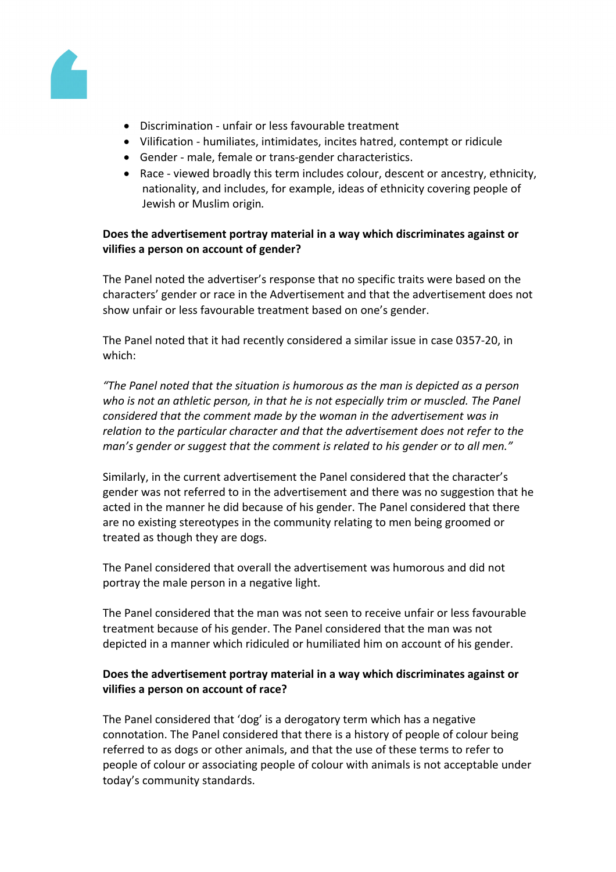

- Discrimination unfair or less favourable treatment
- Vilification humiliates, intimidates, incites hatred, contempt or ridicule
- Gender male, female or trans-gender characteristics.
- Race viewed broadly this term includes colour, descent or ancestry, ethnicity, nationality, and includes, for example, ideas of ethnicity covering people of Jewish or Muslim origin*.*

# **Does the advertisement portray material in a way which discriminates against or vilifies a person on account of gender?**

The Panel noted the advertiser's response that no specific traits were based on the characters' gender or race in the Advertisement and that the advertisement does not show unfair or less favourable treatment based on one's gender.

The Panel noted that it had recently considered a similar issue in case 0357-20, in which:

*"The Panel noted that the situation is humorous as the man is depicted as a person who is not an athletic person, in that he is not especially trim or muscled. The Panel considered that the comment made by the woman in the advertisement was in relation to the particular character and that the advertisement does not refer to the man's gender or suggest that the comment is related to his gender or to all men."*

Similarly, in the current advertisement the Panel considered that the character's gender was not referred to in the advertisement and there was no suggestion that he acted in the manner he did because of his gender. The Panel considered that there are no existing stereotypes in the community relating to men being groomed or treated as though they are dogs.

The Panel considered that overall the advertisement was humorous and did not portray the male person in a negative light.

The Panel considered that the man was not seen to receive unfair or less favourable treatment because of his gender. The Panel considered that the man was not depicted in a manner which ridiculed or humiliated him on account of his gender.

# **Does the advertisement portray material in a way which discriminates against or vilifies a person on account of race?**

The Panel considered that 'dog' is a derogatory term which has a negative connotation. The Panel considered that there is a history of people of colour being referred to as dogs or other animals, and that the use of these terms to refer to people of colour or associating people of colour with animals is not acceptable under today's community standards.